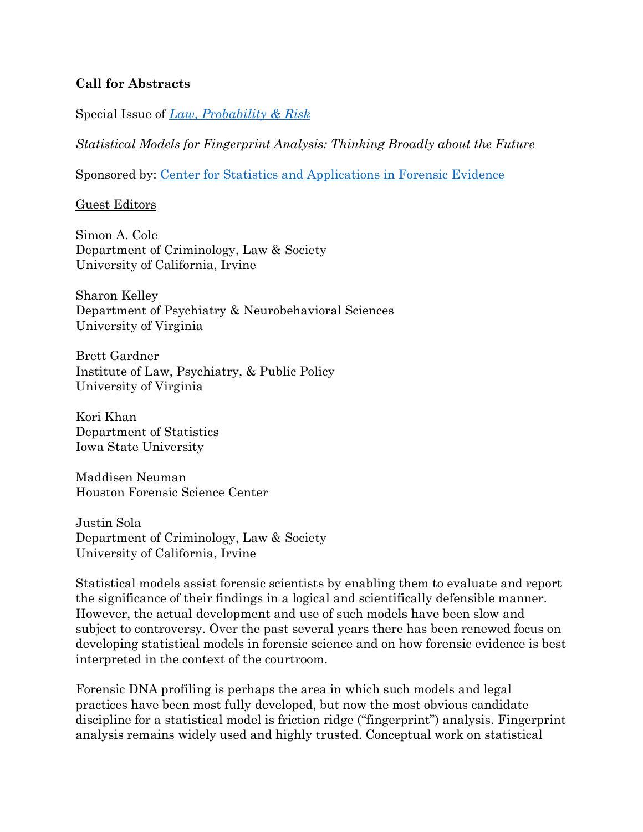## **Call for Abstracts**

Special Issue of *[Law, Probability & Risk](https://academic.oup.com/lpr/)*

*Statistical Models for Fingerprint Analysis: Thinking Broadly about the Future*

Sponsored by: [Center for Statistics and](https://forensicstats.org/) Applications in Forensic Evidence

Guest Editors

Simon A. Cole Department of Criminology, Law & Society University of California, Irvine

Sharon Kelley Department of Psychiatry & Neurobehavioral Sciences University of Virginia

Brett Gardner Institute of Law, Psychiatry, & Public Policy University of Virginia

Kori Khan Department of Statistics Iowa State University

Maddisen Neuman Houston Forensic Science Center

Justin Sola Department of Criminology, Law & Society University of California, Irvine

Statistical models assist forensic scientists by enabling them to evaluate and report the significance of their findings in a logical and scientifically defensible manner. However, the actual development and use of such models have been slow and subject to controversy. Over the past several years there has been renewed focus on developing statistical models in forensic science and on how forensic evidence is best interpreted in the context of the courtroom.

Forensic DNA profiling is perhaps the area in which such models and legal practices have been most fully developed, but now the most obvious candidate discipline for a statistical model is friction ridge ("fingerprint") analysis. Fingerprint analysis remains widely used and highly trusted. Conceptual work on statistical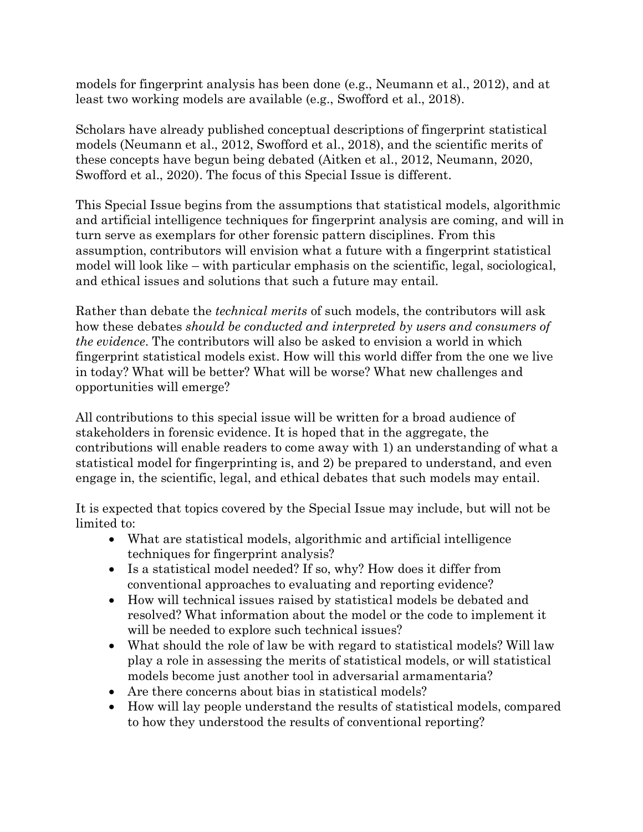models for fingerprint analysis has been done (e.g., Neumann et al., 2012), and at least two working models are available (e.g., Swofford et al., 2018).

Scholars have already published conceptual descriptions of fingerprint statistical models (Neumann et al., 2012, Swofford et al., 2018), and the scientific merits of these concepts have begun being debated (Aitken et al., 2012, Neumann, 2020, Swofford et al., 2020). The focus of this Special Issue is different.

This Special Issue begins from the assumptions that statistical models, algorithmic and artificial intelligence techniques for fingerprint analysis are coming, and will in turn serve as exemplars for other forensic pattern disciplines. From this assumption, contributors will envision what a future with a fingerprint statistical model will look like – with particular emphasis on the scientific, legal, sociological, and ethical issues and solutions that such a future may entail.

Rather than debate the *technical merits* of such models, the contributors will ask how these debates *should be conducted and interpreted by users and consumers of the evidence*. The contributors will also be asked to envision a world in which fingerprint statistical models exist. How will this world differ from the one we live in today? What will be better? What will be worse? What new challenges and opportunities will emerge?

All contributions to this special issue will be written for a broad audience of stakeholders in forensic evidence. It is hoped that in the aggregate, the contributions will enable readers to come away with 1) an understanding of what a statistical model for fingerprinting is, and 2) be prepared to understand, and even engage in, the scientific, legal, and ethical debates that such models may entail.

It is expected that topics covered by the Special Issue may include, but will not be limited to:

- What are statistical models, algorithmic and artificial intelligence techniques for fingerprint analysis?
- Is a statistical model needed? If so, why? How does it differ from conventional approaches to evaluating and reporting evidence?
- How will technical issues raised by statistical models be debated and resolved? What information about the model or the code to implement it will be needed to explore such technical issues?
- What should the role of law be with regard to statistical models? Will law play a role in assessing the merits of statistical models, or will statistical models become just another tool in adversarial armamentaria?
- Are there concerns about bias in statistical models?
- How will lay people understand the results of statistical models, compared to how they understood the results of conventional reporting?